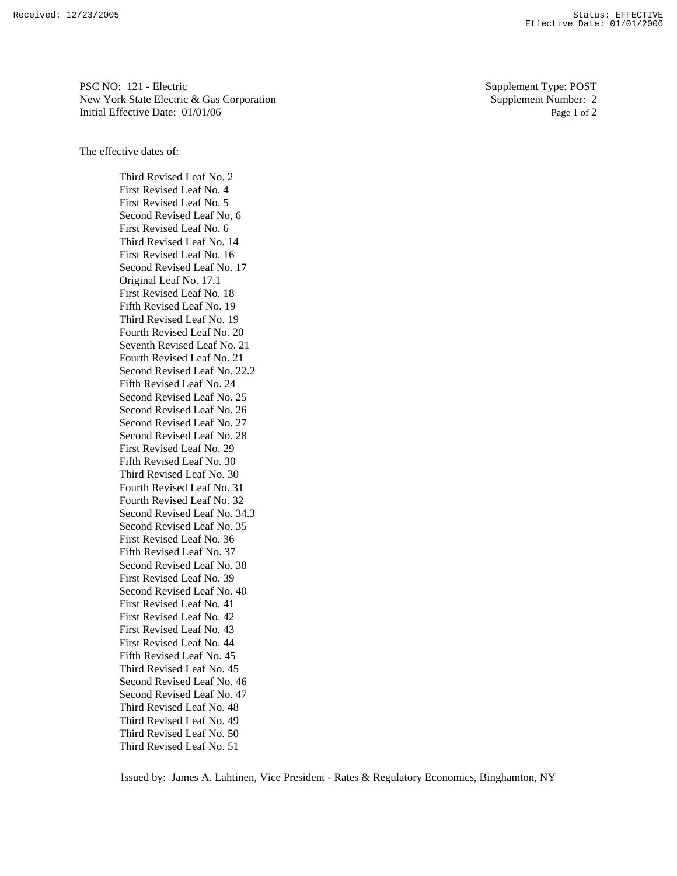PSC NO: 121 - Electric Supplement Type: POST New York State Electric & Gas Corporation Supplement Number: 2 Initial Effective Date:  $01/01/06$  Page 1 of 2

The effective dates of:

Third Revised Leaf No. 2 First Revised Leaf No. 4 First Revised Leaf No. 5 Second Revised Leaf No, 6 First Revised Leaf No. 6 Third Revised Leaf No. 14 First Revised Leaf No. 16 Second Revised Leaf No. 17 Original Leaf No. 17.1 First Revised Leaf No. 18 Fifth Revised Leaf No. 19 Third Revised Leaf No. 19 Fourth Revised Leaf No. 20 Seventh Revised Leaf No. 21 Fourth Revised Leaf No. 21 Second Revised Leaf No. 22.2 Fifth Revised Leaf No. 24 Second Revised Leaf No. 25 Second Revised Leaf No. 26 Second Revised Leaf No. 27 Second Revised Leaf No. 28 First Revised Leaf No. 29 Fifth Revised Leaf No. 30 Third Revised Leaf No. 30 Fourth Revised Leaf No. 31 Fourth Revised Leaf No. 32 Second Revised Leaf No. 34.3 Second Revised Leaf No. 35 First Revised Leaf No. 36 Fifth Revised Leaf No. 37 Second Revised Leaf No. 38 First Revised Leaf No. 39 Second Revised Leaf No. 40 First Revised Leaf No. 41 First Revised Leaf No. 42 First Revised Leaf No. 43 First Revised Leaf No. 44 Fifth Revised Leaf No. 45 Third Revised Leaf No. 45 Second Revised Leaf No. 46 Second Revised Leaf No. 47 Third Revised Leaf No. 48 Third Revised Leaf No. 49 Third Revised Leaf No. 50 Third Revised Leaf No. 51

Issued by: James A. Lahtinen, Vice President - Rates & Regulatory Economics, Binghamton, NY